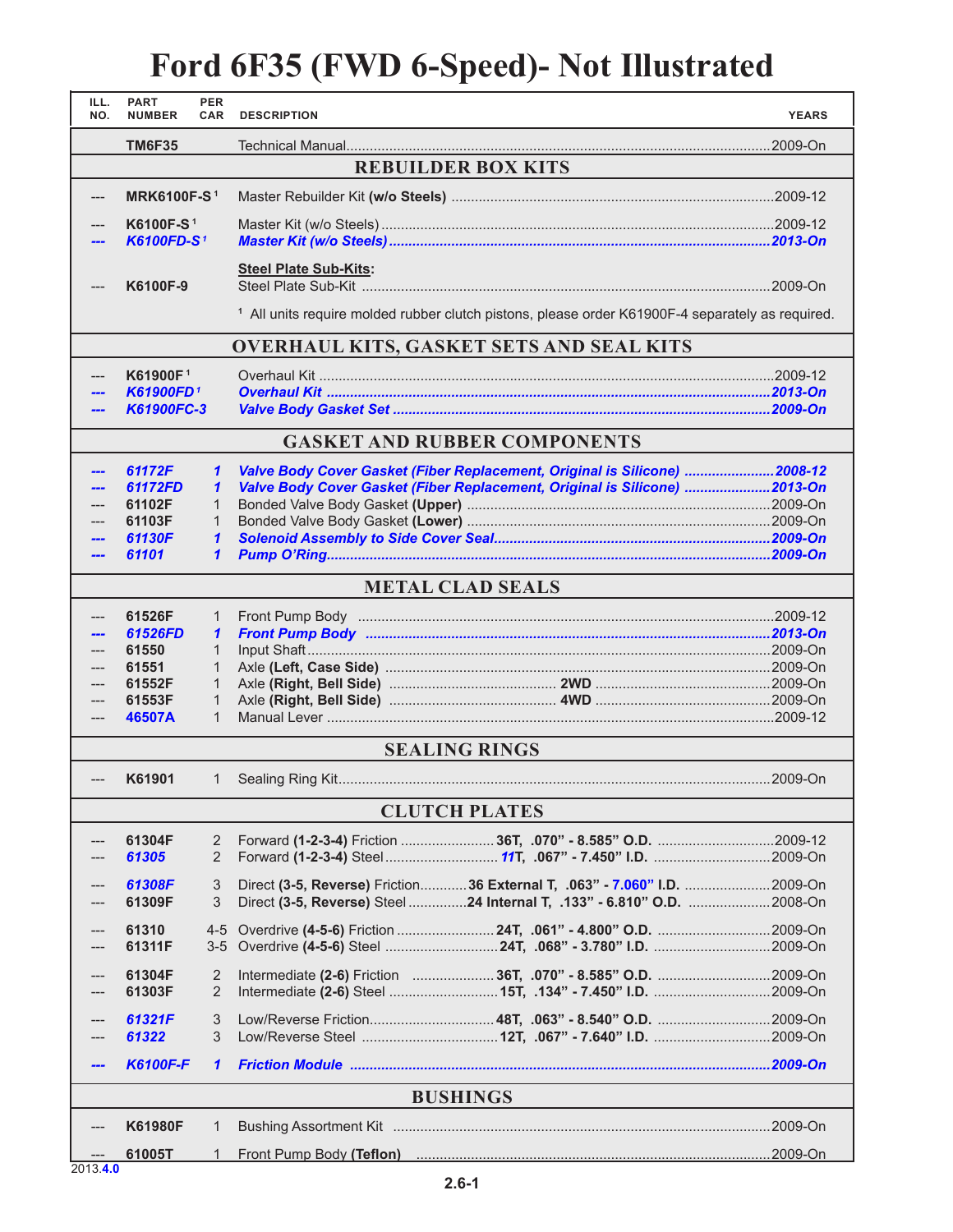## **Ford 6F35 (FWD 6-Speed)- Not Illustrated**

| ILL.<br>NO.                                     | <b>PART</b><br><b>NUMBER</b> | <b>PER</b><br>CAR     | <b>DESCRIPTION</b>                                                                                          | <b>YEARS</b> |  |  |  |  |
|-------------------------------------------------|------------------------------|-----------------------|-------------------------------------------------------------------------------------------------------------|--------------|--|--|--|--|
|                                                 | <b>TM6F35</b>                |                       |                                                                                                             |              |  |  |  |  |
| <b>REBUILDER BOX KITS</b>                       |                              |                       |                                                                                                             |              |  |  |  |  |
| ---                                             | <b>MRK6100F-S1</b>           |                       |                                                                                                             |              |  |  |  |  |
|                                                 | K6100F-S <sup>1</sup>        |                       |                                                                                                             |              |  |  |  |  |
|                                                 | <b>K6100FD-S1</b>            |                       |                                                                                                             |              |  |  |  |  |
|                                                 | K6100F-9                     |                       | <b>Steel Plate Sub-Kits:</b>                                                                                |              |  |  |  |  |
|                                                 |                              |                       | <sup>1</sup> All units require molded rubber clutch pistons, please order K61900F-4 separately as required. |              |  |  |  |  |
| <b>OVERHAUL KITS, GASKET SETS AND SEAL KITS</b> |                              |                       |                                                                                                             |              |  |  |  |  |
|                                                 | K61900F <sup>1</sup>         |                       |                                                                                                             |              |  |  |  |  |
|                                                 | <b>K61900FD1</b>             |                       |                                                                                                             |              |  |  |  |  |
|                                                 | K61900FC-3                   |                       |                                                                                                             |              |  |  |  |  |
| <b>GASKET AND RUBBER COMPONENTS</b>             |                              |                       |                                                                                                             |              |  |  |  |  |
|                                                 | 61172F                       | $\mathbf{1}$          | Valve Body Cover Gasket (Fiber Replacement, Original is Silicone)  2008-12                                  |              |  |  |  |  |
|                                                 | 61172FD                      | $\mathbf{\mathbf{1}}$ | Valve Body Cover Gasket (Fiber Replacement, Original is Silicone) 2013-On                                   |              |  |  |  |  |
|                                                 | 61102F<br>61103F             | 1<br>$\mathbf 1$      |                                                                                                             |              |  |  |  |  |
|                                                 | 61130F                       | $\mathbf{1}$          |                                                                                                             |              |  |  |  |  |
|                                                 | 61101                        | $\mathbf{1}$          |                                                                                                             |              |  |  |  |  |
|                                                 |                              |                       |                                                                                                             |              |  |  |  |  |
|                                                 |                              |                       | <b>METAL CLAD SEALS</b>                                                                                     |              |  |  |  |  |
|                                                 | 61526F                       | $\mathbf{1}$          |                                                                                                             |              |  |  |  |  |
|                                                 | 61526FD                      | $\mathbf{1}$          |                                                                                                             |              |  |  |  |  |
|                                                 | 61550                        | $\mathbf{1}$          |                                                                                                             |              |  |  |  |  |
|                                                 | 61551                        | $\mathbf{1}$          |                                                                                                             |              |  |  |  |  |
|                                                 | 61552F                       | 1                     |                                                                                                             |              |  |  |  |  |
|                                                 | 61553F                       | 1                     |                                                                                                             |              |  |  |  |  |
| $---$                                           | 46507A                       | $\mathbf{1}$          |                                                                                                             |              |  |  |  |  |
|                                                 |                              |                       | <b>SEALING RINGS</b>                                                                                        |              |  |  |  |  |
| ---                                             | K61901                       | $\mathbf{1}$          |                                                                                                             |              |  |  |  |  |
|                                                 |                              |                       | <b>CLUTCH PLATES</b>                                                                                        |              |  |  |  |  |
|                                                 | 61304F                       | $\overline{2}$        | Forward (1-2-3-4) Friction 36T, .070" - 8.585" O.D. 2009-12                                                 |              |  |  |  |  |
|                                                 | 61305                        | 2                     |                                                                                                             |              |  |  |  |  |
|                                                 | 61308F                       | 3                     | Direct (3-5, Reverse) Friction36 External T, .063" - 7.060" I.D. 2009-On                                    |              |  |  |  |  |
|                                                 | 61309F                       | 3                     | Direct (3-5, Reverse) Steel 24 Internal T, .133" - 6.810" O.D. 2008-On                                      |              |  |  |  |  |
|                                                 |                              |                       |                                                                                                             |              |  |  |  |  |
|                                                 | 61310                        | $4 - 5$               |                                                                                                             |              |  |  |  |  |
|                                                 | 61311F                       | $3-5$                 |                                                                                                             |              |  |  |  |  |
|                                                 | 61304F                       | 2                     | Intermediate (2-6) Friction  36T, .070" - 8.585" O.D. 2009-On                                               |              |  |  |  |  |
|                                                 | 61303F                       | 2                     |                                                                                                             |              |  |  |  |  |
|                                                 | 61321F                       | 3                     | Low/Reverse Friction48T, .063" - 8.540" O.D. 2009-On                                                        |              |  |  |  |  |
|                                                 | 61322                        | 3                     |                                                                                                             |              |  |  |  |  |
|                                                 | <b>K6100F-F</b>              | $\mathbf{1}$          |                                                                                                             |              |  |  |  |  |
| <b>BUSHINGS</b>                                 |                              |                       |                                                                                                             |              |  |  |  |  |
|                                                 | <b>K61980F</b>               | 1                     |                                                                                                             |              |  |  |  |  |
|                                                 |                              |                       |                                                                                                             |              |  |  |  |  |
| $2013$ A D                                      | 61005T                       | 1                     |                                                                                                             |              |  |  |  |  |